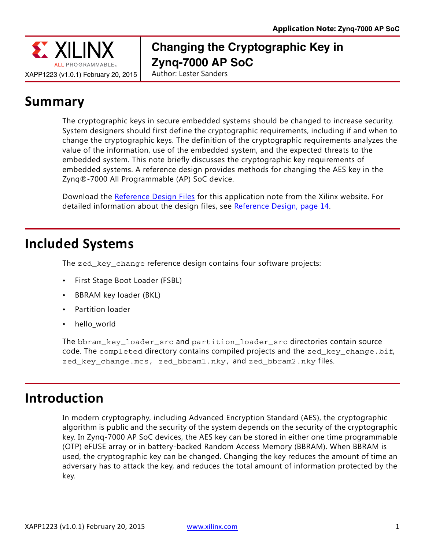

# **Changing the Cryptographic Key in Zynq-7000 AP SoC**

Author: Lester Sanders

# **Summary**

The cryptographic keys in secure embedded systems should be changed to increase security. System designers should first define the cryptographic requirements, including if and when to change the cryptographic keys. The definition of the cryptographic requirements analyzes the value of the information, use of the embedded system, and the expected threats to the embedded system. This note briefly discusses the cryptographic key requirements of embedded systems. A reference design provides methods for changing the AES key in the Zynq®-7000 All Programmable (AP) SoC device.

Download the [Reference Design Files](https://secure.xilinx.com/webreg/clickthrough.do?cid=370240) for this application note from the Xilinx website. For detailed information about the design files, see [Reference Design, page 14](#page-13-0).

# **Included Systems**

The zed\_key\_change reference design contains four software projects:

- First Stage Boot Loader (FSBL)
- BBRAM key loader (BKL)
- Partition loader
- hello\_world

The bbram key loader src and partition loader src directories contain source code. The completed directory contains compiled projects and the  $zed\_key\_change,bif,$ zed\_key\_change.mcs, zed\_bbram1.nky, and zed\_bbram2.nky files.

# **Introduction**

In modern cryptography, including Advanced Encryption Standard (AES), the cryptographic algorithm is public and the security of the system depends on the security of the cryptographic key. In Zynq-7000 AP SoC devices, the AES key can be stored in either one time programmable (OTP) eFUSE array or in battery-backed Random Access Memory (BBRAM). When BBRAM is used, the cryptographic key can be changed. Changing the key reduces the amount of time an adversary has to attack the key, and reduces the total amount of information protected by the key.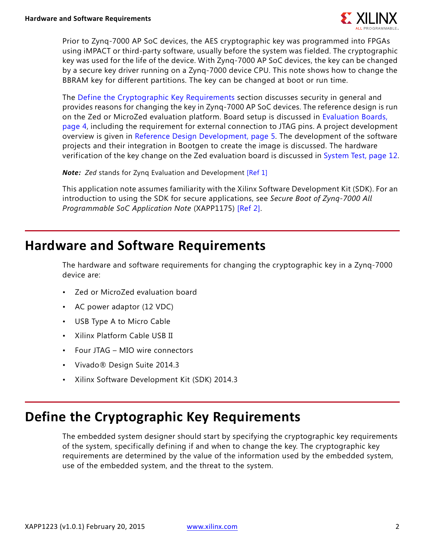

Prior to Zynq-7000 AP SoC devices, the AES cryptographic key was programmed into FPGAs using iMPACT or third-party software, usually before the system was fielded. The cryptographic key was used for the life of the device. With Zynq-7000 AP SoC devices, the key can be changed by a secure key driver running on a Zynq-7000 device CPU. This note shows how to change the BBRAM key for different partitions. The key can be changed at boot or run time.

The [Define the Cryptographic Key Requirements](#page-1-0) section discusses security in general and provides reasons for changing the key in Zynq-7000 AP SoC devices. The reference design is run on the Zed or MicroZed evaluation platform. Board setup is discussed in [Evaluation Boards,](#page-3-0)  [page 4](#page-3-0), including the requirement for external connection to JTAG pins. A project development overview is given in [Reference Design Development, page 5.](#page-4-0) The development of the software projects and their integration in Bootgen to create the image is discussed. The hardware verification of the key change on the Zed evaluation board is discussed in [System Test, page 12.](#page-11-0)

*Note: Zed* stands for Zynq Evaluation and Development [\[Ref 1\]](#page-14-0)

This application note assumes familiarity with the Xilinx Software Development Kit (SDK). For an introduction to using the SDK for secure applications, see *Secure Boot of Zynq-7000 All Programmable SoC Application Note* (XAPP1175) [\[Ref 2\]](#page-14-1).

## **Hardware and Software Requirements**

The hardware and software requirements for changing the cryptographic key in a Zynq-7000 device are:

- Zed or MicroZed evaluation board
- AC power adaptor (12 VDC)
- USB Type A to Micro Cable
- Xilinx Platform Cable USB II
- Four JTAG MIO wire connectors
- Vivado® Design Suite 2014.3
- Xilinx Software Development Kit (SDK) 2014.3

# <span id="page-1-0"></span>**Define the Cryptographic Key Requirements**

The embedded system designer should start by specifying the cryptographic key requirements of the system, specifically defining if and when to change the key. The cryptographic key requirements are determined by the value of the information used by the embedded system, use of the embedded system, and the threat to the system.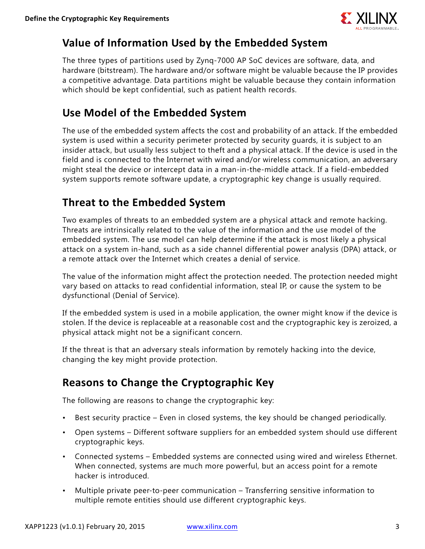

### **Value of Information Used by the Embedded System**

The three types of partitions used by Zynq-7000 AP SoC devices are software, data, and hardware (bitstream). The hardware and/or software might be valuable because the IP provides a competitive advantage. Data partitions might be valuable because they contain information which should be kept confidential, such as patient health records.

### **Use Model of the Embedded System**

The use of the embedded system affects the cost and probability of an attack. If the embedded system is used within a security perimeter protected by security guards, it is subject to an insider attack, but usually less subject to theft and a physical attack. If the device is used in the field and is connected to the Internet with wired and/or wireless communication, an adversary might steal the device or intercept data in a man-in-the-middle attack. If a field-embedded system supports remote software update, a cryptographic key change is usually required.

## **Threat to the Embedded System**

Two examples of threats to an embedded system are a physical attack and remote hacking. Threats are intrinsically related to the value of the information and the use model of the embedded system. The use model can help determine if the attack is most likely a physical attack on a system in-hand, such as a side channel differential power analysis (DPA) attack, or a remote attack over the Internet which creates a denial of service.

The value of the information might affect the protection needed. The protection needed might vary based on attacks to read confidential information, steal IP, or cause the system to be dysfunctional (Denial of Service).

If the embedded system is used in a mobile application, the owner might know if the device is stolen. If the device is replaceable at a reasonable cost and the cryptographic key is zeroized, a physical attack might not be a significant concern.

If the threat is that an adversary steals information by remotely hacking into the device, changing the key might provide protection.

### **Reasons to Change the Cryptographic Key**

The following are reasons to change the cryptographic key:

- Best security practice Even in closed systems, the key should be changed periodically.
- Open systems Different software suppliers for an embedded system should use different cryptographic keys.
- Connected systems Embedded systems are connected using wired and wireless Ethernet. When connected, systems are much more powerful, but an access point for a remote hacker is introduced.
- Multiple private peer-to-peer communication Transferring sensitive information to multiple remote entities should use different cryptographic keys.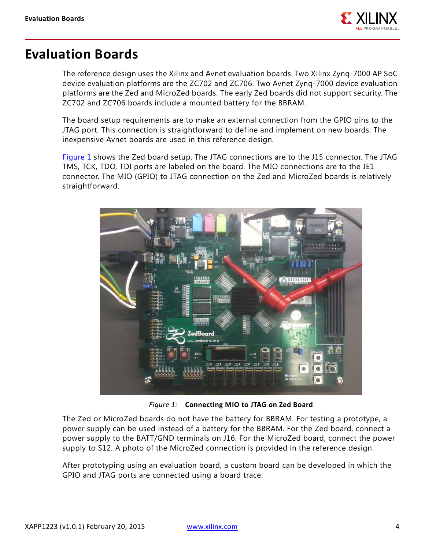

# <span id="page-3-0"></span>**Evaluation Boards**

The reference design uses the Xilinx and Avnet evaluation boards. Two Xilinx Zynq-7000 AP SoC device evaluation platforms are the ZC702 and ZC706. Two Avnet Zynq-7000 device evaluation platforms are the Zed and MicroZed boards. The early Zed boards did not support security. The ZC702 and ZC706 boards include a mounted battery for the BBRAM.

The board setup requirements are to make an external connection from the GPIO pins to the JTAG port. This connection is straightforward to define and implement on new boards. The inexpensive Avnet boards are used in this reference design.

[Figure 1](#page-3-1) shows the Zed board setup. The JTAG connections are to the J15 connector. The JTAG TMS, TCK, TDO, TDI ports are labeled on the board. The MIO connections are to the JE1 connector. The MIO (GPIO) to JTAG connection on the Zed and MicroZed boards is relatively straightforward.

<span id="page-3-1"></span>

*Figure 1:* **Connecting MIO to JTAG on Zed Board**

The Zed or MicroZed boards do not have the battery for BBRAM. For testing a prototype, a power supply can be used instead of a battery for the BBRAM. For the Zed board, connect a power supply to the BATT/GND terminals on J16. For the MicroZed board, connect the power supply to S12. A photo of the MicroZed connection is provided in the reference design.

After prototyping using an evaluation board, a custom board can be developed in which the GPIO and JTAG ports are connected using a board trace.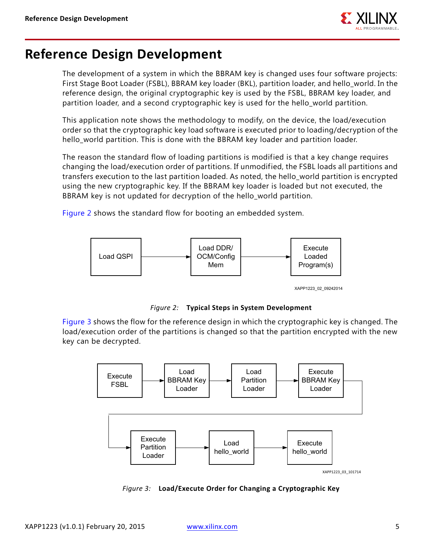

## <span id="page-4-0"></span>**Reference Design Development**

The development of a system in which the BBRAM key is changed uses four software projects: First Stage Boot Loader (FSBL), BBRAM key loader (BKL), partition loader, and hello\_world. In the reference design, the original cryptographic key is used by the FSBL, BBRAM key loader, and partition loader, and a second cryptographic key is used for the hello\_world partition.

This application note shows the methodology to modify, on the device, the load/execution order so that the cryptographic key load software is executed prior to loading/decryption of the hello\_world partition. This is done with the BBRAM key loader and partition loader.

The reason the standard flow of loading partitions is modified is that a key change requires changing the load/execution order of partitions. If unmodified, the FSBL loads all partitions and transfers execution to the last partition loaded. As noted, the hello\_world partition is encrypted using the new cryptographic key. If the BBRAM key loader is loaded but not executed, the BBRAM key is not updated for decryption of the hello world partition.

<span id="page-4-1"></span>[Figure 2](#page-4-1) shows the standard flow for booting an embedded system.



XAPP1223\_02\_09242014

*Figure 2:* **Typical Steps in System Development**

[Figure 3](#page-4-2) shows the flow for the reference design in which the cryptographic key is changed. The load/execution order of the partitions is changed so that the partition encrypted with the new key can be decrypted.

<span id="page-4-2"></span>

*Figure 3:* **Load/Execute Order for Changing a Cryptographic Key**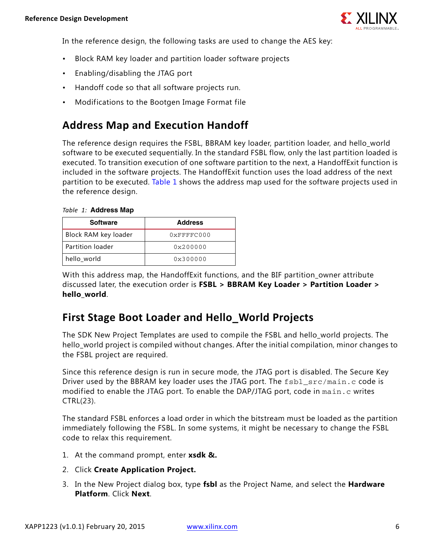

In the reference design, the following tasks are used to change the AES key:

- Block RAM key loader and partition loader software projects
- Enabling/disabling the JTAG port
- Handoff code so that all software projects run.
- Modifications to the Bootgen Image Format file

### **Address Map and Execution Handoff**

The reference design requires the FSBL, BBRAM key loader, partition loader, and hello\_world software to be executed sequentially. In the standard FSBL flow, only the last partition loaded is executed. To transition execution of one software partition to the next, a HandoffExit function is included in the software projects. The HandoffExit function uses the load address of the next partition to be executed. [Table 1](#page-5-0) shows the address map used for the software projects used in the reference design.

| <b>Software</b>      | <b>Address</b> |
|----------------------|----------------|
| Block RAM key loader | $0x$ FFFFC000  |
| Partition loader     | 0x200000       |
| hello_world          | 0x300000       |
|                      |                |

#### <span id="page-5-0"></span>*Table 1:* **Address Map**

With this address map, the HandoffExit functions, and the BIF partition owner attribute discussed later, the execution order is **FSBL > BBRAM Key Loader > Partition Loader > hello\_world**.

### **First Stage Boot Loader and Hello\_World Projects**

The SDK New Project Templates are used to compile the FSBL and hello\_world projects. The hello\_world project is compiled without changes. After the initial compilation, minor changes to the FSBL project are required.

Since this reference design is run in secure mode, the JTAG port is disabled. The Secure Key Driver used by the BBRAM key loader uses the JTAG port. The fsbl src/main.c code is modified to enable the JTAG port. To enable the DAP/JTAG port, code in main.c writes CTRL(23).

The standard FSBL enforces a load order in which the bitstream must be loaded as the partition immediately following the FSBL. In some systems, it might be necessary to change the FSBL code to relax this requirement.

- 1. At the command prompt, enter **xsdk &.**
- 2. Click **Create Application Project.**
- 3. In the New Project dialog box, type **fsbl** as the Project Name, and select the **Hardware Platform**. Click **Next**.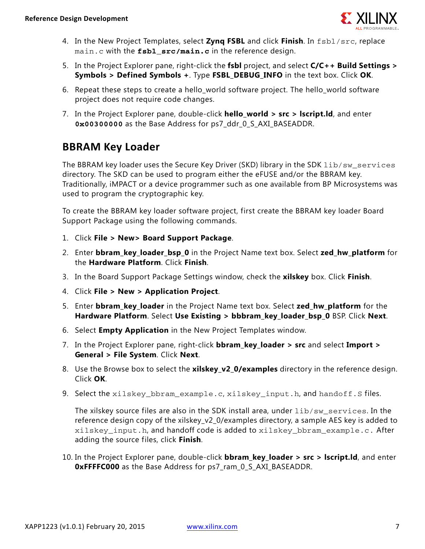

- 4. In the New Project Templates, select **Zynq FSBL** and click **Finish**. In fsbl/src, replace main.c with the **fsbl src/main.c** in the reference design.
- 5. In the Project Explorer pane, right-click the **fsbl** project, and select **C/C++ Build Settings > Symbols > Defined Symbols +**. Type **FSBL\_DEBUG\_INFO** in the text box. Click **OK**.
- 6. Repeat these steps to create a hello\_world software project. The hello\_world software project does not require code changes.
- 7. In the Project Explorer pane, double-click **hello\_world > src > lscript.ld**, and enter **0x00300000** as the Base Address for ps7\_ddr\_0\_S\_AXI\_BASEADDR.

### **BBRAM Key Loader**

The BBRAM key loader uses the Secure Key Driver (SKD) library in the SDK lib/sw services directory. The SKD can be used to program either the eFUSE and/or the BBRAM key. Traditionally, iMPACT or a device programmer such as one available from BP Microsystems was used to program the cryptographic key.

To create the BBRAM key loader software project, first create the BBRAM key loader Board Support Package using the following commands.

- 1. Click **File > New> Board Support Package**.
- 2. Enter **bbram\_key\_loader\_bsp\_0** in the Project Name text box. Select **zed\_hw\_platform** for the **Hardware Platform**. Click **Finish**.
- 3. In the Board Support Package Settings window, check the **xilskey** box. Click **Finish**.
- 4. Click **File > New > Application Project**.
- 5. Enter **bbram\_key\_loader** in the Project Name text box. Select **zed\_hw\_platform** for the **Hardware Platform**. Select **Use Existing > bbbram\_key\_loader\_bsp\_0** BSP. Click **Next**.
- 6. Select **Empty Application** in the New Project Templates window.
- 7. In the Project Explorer pane, right-click **bbram\_key\_loader > src** and select **Import > General > File System**. Click **Next**.
- 8. Use the Browse box to select the **xilskey\_v2\_0/examples** directory in the reference design. Click **OK**.
- 9. Select the xilskey bbram example.c, xilskey input.h, and handoff.s files.

The xilskey source files are also in the SDK install area, under lib/sw\_services. In the reference design copy of the xilskey v2 0/examples directory, a sample AES key is added to xilskey\_input.h, and handoff code is added to xilskey\_bbram\_example.c. After adding the source files, click **Finish**.

10. In the Project Explorer pane, double-click **bbram\_key\_loader > src > lscript.ld**, and enter **0xFFFFC000** as the Base Address for ps7\_ram\_0\_S\_AXI\_BASEADDR.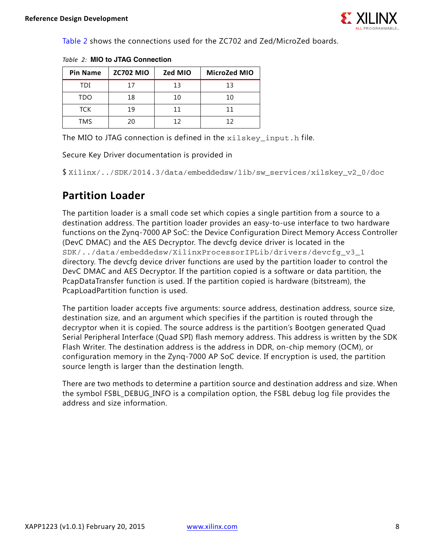

[Table 2](#page-7-0) shows the connections used for the ZC702 and Zed/MicroZed boards.

| <b>Pin Name</b> | <b>ZC702 MIO</b> | Zed MIO | MicroZed MIO |
|-----------------|------------------|---------|--------------|
| TDI             | 17               | 13      | 13           |
| TDO             | 18               | 10      | 10           |
| TCK             | 19               | 11      | 11           |
| TMS             | 20               | 12      | 12           |

<span id="page-7-0"></span>*Table 2:* **MIO to JTAG Connection**

The MIO to JTAG connection is defined in the xilskey input.h file.

Secure Key Driver documentation is provided in

\$ Xilinx/../SDK/2014.3/data/embeddedsw/lib/sw\_services/xilskey\_v2\_0/doc

### **Partition Loader**

The partition loader is a small code set which copies a single partition from a source to a destination address. The partition loader provides an easy-to-use interface to two hardware functions on the Zynq-7000 AP SoC: the Device Configuration Direct Memory Access Controller (DevC DMAC) and the AES Decryptor. The devcfg device driver is located in the SDK/../data/embeddedsw/XilinxProcessorIPLib/drivers/devcfg\_v3\_1 directory. The devcfg device driver functions are used by the partition loader to control the DevC DMAC and AES Decryptor. If the partition copied is a software or data partition, the PcapDataTransfer function is used. If the partition copied is hardware (bitstream), the PcapLoadPartition function is used.

The partition loader accepts five arguments: source address, destination address, source size, destination size, and an argument which specifies if the partition is routed through the decryptor when it is copied. The source address is the partition's Bootgen generated Quad Serial Peripheral Interface (Quad SPI) flash memory address. This address is written by the SDK Flash Writer. The destination address is the address in DDR, on-chip memory (OCM), or configuration memory in the Zynq-7000 AP SoC device. If encryption is used, the partition source length is larger than the destination length.

There are two methods to determine a partition source and destination address and size. When the symbol FSBL DEBUG INFO is a compilation option, the FSBL debug log file provides the address and size information.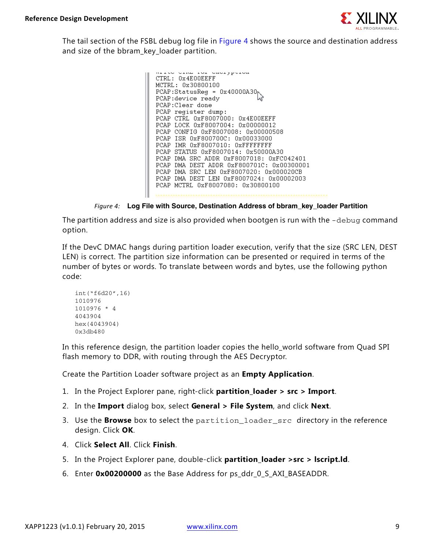

<span id="page-8-0"></span>The tail section of the FSBL debug log file in [Figure 4](#page-8-0) shows the source and destination address and size of the bbram key loader partition.

```
متحدثاته والمحمد
CTRL: 0x4E00EEFF
MCTRL: 0x30800100
PCAP:StatusReg = 0x40000A30<sub>b</sub>PCAP:device ready
PCAP: Clear done
PCAP register dump:
PCAP CTRL 0xF8007000: 0x4E00EEFF
PCAP LOCK 0xF8007004: 0x00000012
PCAP CONFIG 0xF8007008: 0x00000508
PCAP ISR 0xF800700C: 0x00033000
PCAP IMR 0xF8007010: 0xFFFFFFFFF
PCAP STATUS 0xF8007014: 0x50000A30
PCAP DMA SRC ADDR 0xF8007018: 0xFC042401
PCAP DMA DEST ADDR 0xF800701C: 0x00300001
PCAP DMA SRC LEN 0xF8007020: 0x000020CB
PCAP DMA DEST LEN 0xF8007024: 0x00002003
PCAP MCTRL 0xF8007080: 0x30800100
```
*Figure 4:* **Log File with Source, Destination Address of bbram\_key\_loader Partition**

The partition address and size is also provided when bootgen is run with the -debug command option.

If the DevC DMAC hangs during partition loader execution, verify that the size (SRC LEN, DEST LEN) is correct. The partition size information can be presented or required in terms of the number of bytes or words. To translate between words and bytes, use the following python code:

```
int("f6d20",16)
1010976
1010976 * 4
4043904
hex(4043904)
0x3db480
```
In this reference design, the partition loader copies the hello\_world software from Quad SPI flash memory to DDR, with routing through the AES Decryptor.

Create the Partition Loader software project as an **Empty Application**.

- 1. In the Project Explorer pane, right-click **partition\_loader > src > Import**.
- 2. In the **Import** dialog box, select **General > File System**, and click **Next**.
- 3. Use the **Browse** box to select the partition\_loader\_src directory in the reference design. Click **OK**.
- 4. Click **Select All**. Click **Finish**.
- 5. In the Project Explorer pane, double-click **partition\_loader >src > lscript.ld**.
- 6. Enter **0x00200000** as the Base Address for ps\_ddr\_0\_S\_AXI\_BASEADDR.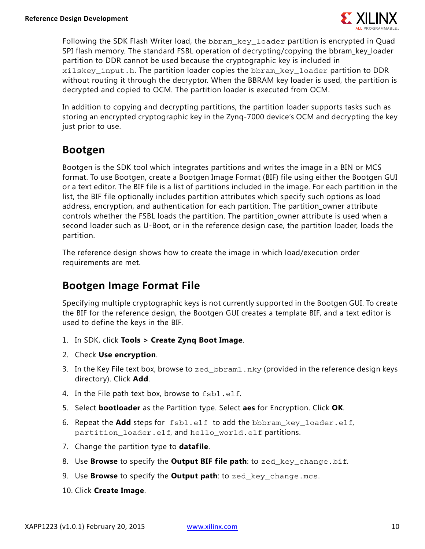

Following the SDK Flash Writer load, the bbram\_key\_loader partition is encrypted in Quad SPI flash memory. The standard FSBL operation of decrypting/copying the bbram key loader partition to DDR cannot be used because the cryptographic key is included in  $xilskey$  input.h. The partition loader copies the bbram key loader partition to DDR without routing it through the decryptor. When the BBRAM key loader is used, the partition is decrypted and copied to OCM. The partition loader is executed from OCM.

In addition to copying and decrypting partitions, the partition loader supports tasks such as storing an encrypted cryptographic key in the Zynq-7000 device's OCM and decrypting the key just prior to use.

### **Bootgen**

Bootgen is the SDK tool which integrates partitions and writes the image in a BIN or MCS format. To use Bootgen, create a Bootgen Image Format (BIF) file using either the Bootgen GUI or a text editor. The BIF file is a list of partitions included in the image. For each partition in the list, the BIF file optionally includes partition attributes which specify such options as load address, encryption, and authentication for each partition. The partition owner attribute controls whether the FSBL loads the partition. The partition\_owner attribute is used when a second loader such as U-Boot, or in the reference design case, the partition loader, loads the partition.

The reference design shows how to create the image in which load/execution order requirements are met.

### **Bootgen Image Format File**

Specifying multiple cryptographic keys is not currently supported in the Bootgen GUI. To create the BIF for the reference design, the Bootgen GUI creates a template BIF, and a text editor is used to define the keys in the BIF.

- 1. In SDK, click **Tools > Create Zynq Boot Image**.
- 2. Check **Use encryption**.
- 3. In the Key File text box, browse to zed\_bbram1.nky (provided in the reference design keys directory). Click **Add**.
- 4. In the File path text box, browse to fsbl.elf.
- 5. Select **bootloader** as the Partition type. Select **aes** for Encryption. Click **OK**.
- 6. Repeat the **Add** steps for fsbl.elf to add the bbbram\_key\_loader.elf, partition\_loader.elf, and hello\_world.elf partitions.
- 7. Change the partition type to **datafile**.
- 8. Use **Browse** to specify the **Output BIF file path**: to zed\_key\_change.bif.
- 9. Use **Browse** to specify the **Output path**: to zed\_key\_change.mcs.
- 10. Click **Create Image**.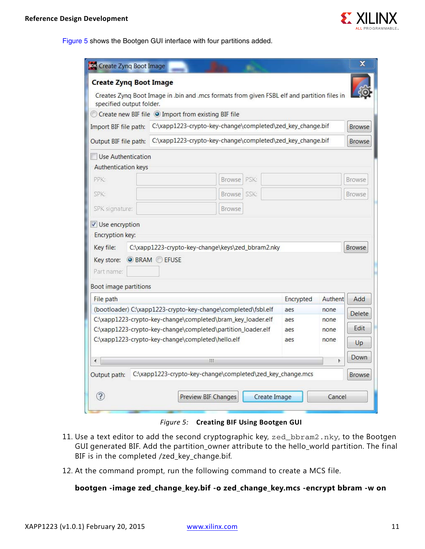

<span id="page-10-0"></span>[Figure 5](#page-10-0) shows the Bootgen GUI interface with four partitions added.

| <b>FOX</b> Create Zynq Boot Image                                                                    |                                                                                                                                 |               |      |               |           |               | x             |
|------------------------------------------------------------------------------------------------------|---------------------------------------------------------------------------------------------------------------------------------|---------------|------|---------------|-----------|---------------|---------------|
| <b>Create Zyng Boot Image</b>                                                                        |                                                                                                                                 |               |      |               |           |               |               |
| specified output folder.                                                                             | Creates Zyng Boot Image in .bin and .mcs formats from given FSBL elf and partition files in                                     |               |      |               |           |               |               |
|                                                                                                      | Create new BIF file O Import from existing BIF file                                                                             |               |      |               |           |               |               |
| C:\xapp1223-crypto-key-change\completed\zed_key_change.bif<br>Import BIF file path:<br><b>Browse</b> |                                                                                                                                 |               |      |               |           |               |               |
| Output BIF file path:                                                                                | C:\xapp1223-crypto-key-change\completed\zed_key_change.bif                                                                      |               |      | <b>Browse</b> |           |               |               |
| Use Authentication                                                                                   |                                                                                                                                 |               |      |               |           |               |               |
| <b>Authentication keys</b>                                                                           |                                                                                                                                 |               |      |               |           |               |               |
| PPK:                                                                                                 |                                                                                                                                 | <b>Browse</b> | PSK: |               |           |               | <b>Browse</b> |
| SPK:                                                                                                 |                                                                                                                                 | Browse SSK:   |      |               |           |               | <b>Browse</b> |
| SPK signature:                                                                                       |                                                                                                                                 | <b>Browse</b> |      |               |           |               |               |
| ✔ Use encryption                                                                                     |                                                                                                                                 |               |      |               |           |               |               |
| <b>Encryption key:</b>                                                                               |                                                                                                                                 |               |      |               |           |               |               |
| Key file:                                                                                            | C:\xapp1223-crypto-key-change\keys\zed_bbram2.nky                                                                               |               |      |               |           |               | <b>Browse</b> |
| Key store:                                                                                           | <b>O</b> BRAM <b>EFUSE</b>                                                                                                      |               |      |               |           |               |               |
| Part name:                                                                                           |                                                                                                                                 |               |      |               |           |               |               |
| Boot image partitions                                                                                |                                                                                                                                 |               |      |               |           |               |               |
| File path                                                                                            |                                                                                                                                 |               |      |               | Encrypted | Authent       | Add           |
| (bootloader) C:\xapp1223-crypto-key-change\completed\fsbl.elf                                        |                                                                                                                                 |               |      | aes           | none      | <b>Delete</b> |               |
| C:\xapp1223-crypto-key-change\completed\bram_key_loader.elf                                          |                                                                                                                                 |               |      | aes           | none      | Edit          |               |
|                                                                                                      | C:\xapp1223-crypto-key-change\completed\partition_loader.elf<br>aes<br>C:\xapp1223-crypto-key-change\completed\hello.elf<br>aes |               |      | none<br>none  |           |               |               |
|                                                                                                      |                                                                                                                                 |               |      | Up            |           |               |               |
| ∢                                                                                                    | Ш                                                                                                                               |               |      |               |           | þ             | Down          |
| Output path:                                                                                         | C:\xapp1223-crypto-key-change\completed\zed_key_change.mcs                                                                      |               |      |               |           |               | <b>Browse</b> |
|                                                                                                      |                                                                                                                                 |               |      |               |           |               |               |

*Figure 5:* **Creating BIF Using Bootgen GUI**

- 11. Use a text editor to add the second cryptographic key, zed\_bbram2.nky, to the Bootgen GUI generated BIF. Add the partition\_owner attribute to the hello\_world partition. The final BIF is in the completed /zed\_key\_change.bif.
- 12. At the command prompt, run the following command to create a MCS file.

#### **bootgen -image zed\_change\_key.bif -o zed\_change\_key.mcs -encrypt bbram -w on**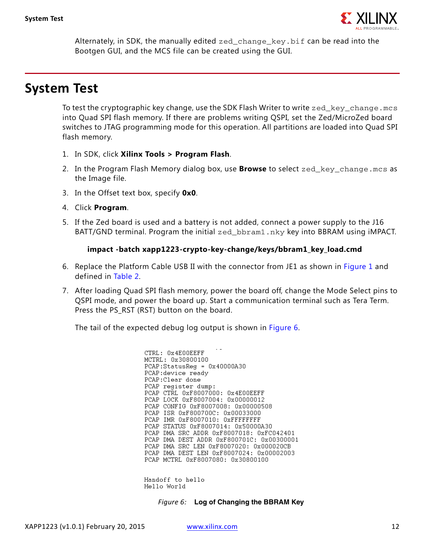

Alternately, in SDK, the manually edited zed\_change\_key.bif can be read into the Bootgen GUI, and the MCS file can be created using the GUI.

## <span id="page-11-0"></span>**System Test**

To test the cryptographic key change, use the SDK Flash Writer to write  $z \in d$  key change.mcs into Quad SPI flash memory. If there are problems writing QSPI, set the Zed/MicroZed board switches to JTAG programming mode for this operation. All partitions are loaded into Quad SPI flash memory.

- 1. In SDK, click **Xilinx Tools > Program Flash**.
- 2. In the Program Flash Memory dialog box, use **Browse** to select zed\_key\_change.mcs as the Image file.
- 3. In the Offset text box, specify **0x0**.
- 4. Click **Program**.
- 5. If the Zed board is used and a battery is not added, connect a power supply to the J16 BATT/GND terminal. Program the initial zed\_bbram1.nky key into BBRAM using iMPACT.

#### **impact -batch xapp1223-crypto-key-change/keys/bbram1\_key\_load.cmd**

- 6. Replace the Platform Cable USB II with the connector from JE1 as shown in [Figure 1](#page-3-1) and defined in [Table 2](#page-7-0).
- 7. After loading Quad SPI flash memory, power the board off, change the Mode Select pins to QSPI mode, and power the board up. Start a communication terminal such as Tera Term. Press the PS\_RST (RST) button on the board.

<span id="page-11-1"></span>The tail of the expected debug log output is shown in [Figure 6.](#page-11-1)

CTRL: 0x4E00EEFF MCTRL: 0x30800100 PCAP:StatusReg = 0x40000A30 PCAP: device ready PCAP: Clear done PCAP register dump: PCAP CTRL 0xF8007000: 0x4E00EEFF PCAP LOCK 0xF8007004: 0x00000012 PCAP CONFIG 0xF8007008: 0x00000508 PCAP ISR 0xF800700C: 0x00033000 PCAP IMR 0xF8007010: 0xFFFFFFFFF PCAP STATUS 0xF8007014: 0x50000A30 PCAP DMA SRC ADDR 0xF8007018: 0xFC042401 PCAP DMA DEST ADDR 0xF800701C: 0x00300001 PCAP DMA SRC LEN 0xF8007020: 0x000020CB PCAP DMA DEST LEN 0xF8007024: 0x00002003 PCAP MCTRL 0xF8007080: 0x30800100

Handoff to hello Hello World

*Figure 6:* **Log of Changing the BBRAM Key**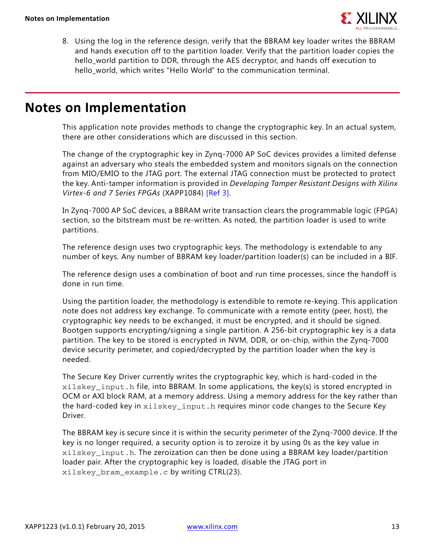

8. Using the log in the reference design, verify that the BBRAM key loader writes the BBRAM and hands execution off to the partition loader. Verify that the partition loader copies the hello\_world partition to DDR, through the AES decryptor, and hands off execution to hello\_world, which writes "Hello World" to the communication terminal.

## **Notes on Implementation**

This application note provides methods to change the cryptographic key. In an actual system, there are other considerations which are discussed in this section.

The change of the cryptographic key in Zynq-7000 AP SoC devices provides a limited defense against an adversary who steals the embedded system and monitors signals on the connection from MIO/EMIO to the JTAG port. The external JTAG connection must be protected to protect the key. Anti-tamper information is provided in *Developing Tamper Resistant Designs with Xilinx Virtex-6 and 7 Series FPGAs* (XAPP1084) [\[Ref 3\]](#page-14-2).

In Zynq-7000 AP SoC devices, a BBRAM write transaction clears the programmable logic (FPGA) section, so the bitstream must be re-written. As noted, the partition loader is used to write partitions.

The reference design uses two cryptographic keys. The methodology is extendable to any number of keys. Any number of BBRAM key loader/partition loader(s) can be included in a BIF.

The reference design uses a combination of boot and run time processes, since the handoff is done in run time.

Using the partition loader, the methodology is extendible to remote re-keying. This application note does not address key exchange. To communicate with a remote entity (peer, host), the cryptographic key needs to be exchanged, it must be encrypted, and it should be signed. Bootgen supports encrypting/signing a single partition. A 256-bit cryptographic key is a data partition. The key to be stored is encrypted in NVM, DDR, or on-chip, within the Zynq-7000 device security perimeter, and copied/decrypted by the partition loader when the key is needed.

The Secure Key Driver currently writes the cryptographic key, which is hard-coded in the xilskey\_input.h file, into BBRAM. In some applications, the key(s) is stored encrypted in OCM or AXI block RAM, at a memory address. Using a memory address for the key rather than the hard-coded key in xilskey\_input.h requires minor code changes to the Secure Key Driver.

The BBRAM key is secure since it is within the security perimeter of the Zynq-7000 device. If the key is no longer required, a security option is to zeroize it by using 0s as the key value in xilskey\_input.h. The zeroization can then be done using a BBRAM key loader/partition loader pair. After the cryptographic key is loaded, disable the JTAG port in xilskey\_bram\_example.c by writing CTRL(23).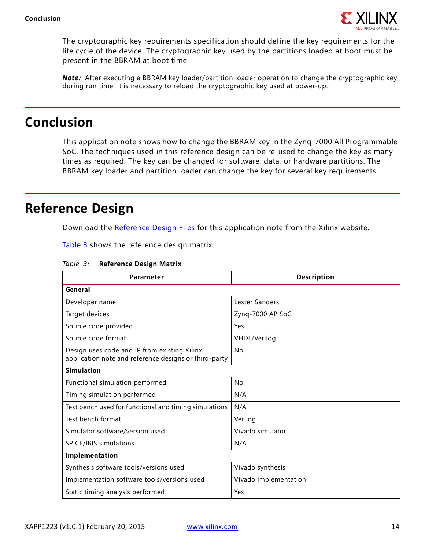

The cryptographic key requirements specification should define the key requirements for the life cycle of the device. The cryptographic key used by the partitions loaded at boot must be present in the BBRAM at boot time.

*Note:* After executing a BBRAM key loader/partition loader operation to change the cryptographic key during run time, it is necessary to reload the cryptographic key used at power-up.

## **Conclusion**

This application note shows how to change the BBRAM key in the Zynq-7000 All Programmable SoC. The techniques used in this reference design can be re-used to change the key as many times as required. The key can be changed for software, data, or hardware partitions. The BBRAM key loader and partition loader can change the key for several key requirements.

# <span id="page-13-0"></span>**Reference Design**

Download the [Reference Design Files](https://secure.xilinx.com/webreg/clickthrough.do?cid=370240) for this application note from the Xilinx website.

[Table 3](#page-13-1) shows the reference design matrix.

| Parameter                                                                                             | <b>Description</b>    |  |  |
|-------------------------------------------------------------------------------------------------------|-----------------------|--|--|
| General                                                                                               |                       |  |  |
| Developer name                                                                                        | Lester Sanders        |  |  |
| Target devices                                                                                        | Zynq-7000 AP SoC      |  |  |
| Source code provided                                                                                  | Yes                   |  |  |
| Source code format                                                                                    | VHDL/Verilog          |  |  |
| Design uses code and IP from existing Xilinx<br>application note and reference designs or third-party | <b>No</b>             |  |  |
| <b>Simulation</b>                                                                                     |                       |  |  |
| Functional simulation performed                                                                       | <b>No</b>             |  |  |
| Timing simulation performed                                                                           | N/A                   |  |  |
| Test bench used for functional and timing simulations                                                 | N/A                   |  |  |
| Test bench format                                                                                     | Verilog               |  |  |
| Simulator software/version used                                                                       | Vivado simulator      |  |  |
| SPICE/IBIS simulations                                                                                | N/A                   |  |  |
| Implementation                                                                                        |                       |  |  |
| Synthesis software tools/versions used                                                                | Vivado synthesis      |  |  |
| Implementation software tools/versions used                                                           | Vivado implementation |  |  |
| Static timing analysis performed                                                                      | Yes                   |  |  |

<span id="page-13-1"></span>*Table 3:* **Reference Design Matrix**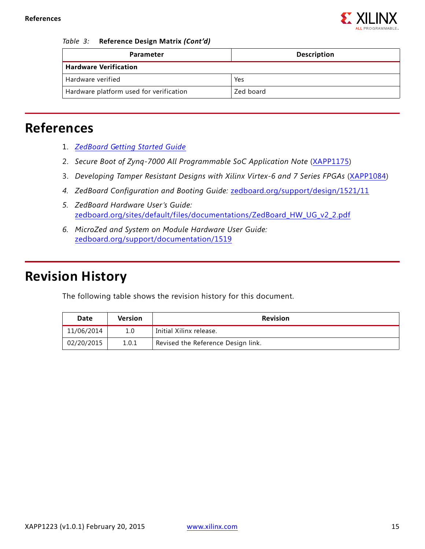

#### *Table 3:* **Reference Design Matrix** *(Cont'd)*

| Parameter                               | <b>Description</b> |  |  |
|-----------------------------------------|--------------------|--|--|
| <b>Hardware Verification</b>            |                    |  |  |
| Hardware verified                       | Yes                |  |  |
| Hardware platform used for verification | Zed board          |  |  |

# **References**

- <span id="page-14-0"></span>1. *[ZedBoard Getting Started Guide](http://zedboard.org/sites/default/files/documentations/GS-AES-Z7EV-7Z020-G-V7.pdf)*
- <span id="page-14-1"></span>2. Secure Boot of Zyng-7000 All Programmable SoC Application Note ([XAPP1175](http://www.xilinx.com/support/documentation/application_notes/xapp1175_zynq_secure_boot.pdf))
- <span id="page-14-2"></span>3. *Developing Tamper Resistant Designs with Xilinx Virtex-6 and 7 Series FPGAs* ([XAPP1084](http://www.xilinx.com/support/documentation/application_notes/xapp1084_tamp_resist_dsgns.pdf))
- *4. ZedBoard Configuration and Booting Guide:* [zedboard.org/support/design/1521/11](http://zedboard.org/support/design/1521/11)
- *5. ZedBoard Hardware User's Guide:*  [zedboard.org/sites/default/files/documentations/ZedBoard\\_HW\\_UG\\_v2\\_2.pdf](http://zedboard.org/sites/default/files/documentations/ZedBoard_HW_UG_v2_2.pdf)
- *6. MicroZed and System on Module Hardware User Guide:*  [zedboard.org/support/documentation/1519](http://zedboard.org/support/documentation/1519)

# **Revision History**

The following table shows the revision history for this document.

| Date       | <b>Version</b> | <b>Revision</b>                    |  |
|------------|----------------|------------------------------------|--|
| 11/06/2014 | 1.0            | Initial Xilinx release.            |  |
| 02/20/2015 | 1.0.1          | Revised the Reference Design link. |  |